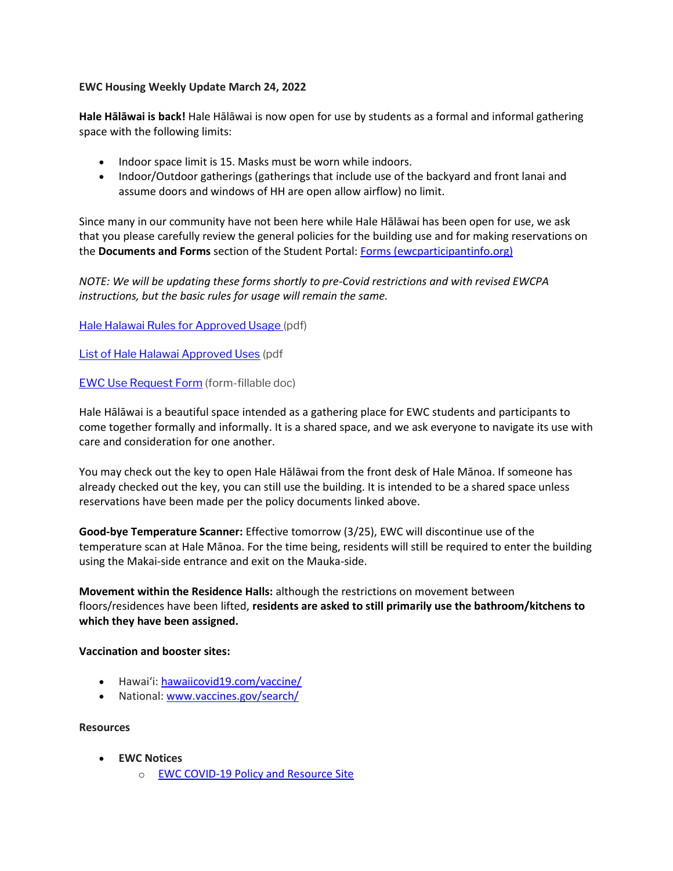## **EWC Housing Weekly Update March 24, 2022**

**Hale Hālāwai is back!** Hale Hālāwai is now open for use by students as a formal and informal gathering space with the following limits:

- Indoor space limit is 15. Masks must be worn while indoors.
- Indoor/Outdoor gatherings (gatherings that include use of the backyard and front lanai and assume doors and windows of HH are open allow airflow) no limit.

Since many in our community have not been here while Hale Hālāwai has been open for use, we ask that you please carefully review the general policies for the building use and for making reservations on the **Documents and Forms** section of the Student Portal: [Forms \(ewcparticipantinfo.org\)](https://urldefense.proofpoint.com/v2/url?u=https-3A__ewcparticipantinfo.org_forms_&d=DwMFaQ&c=euGZstcaTDllvimEN8b7jXrwqOf-v5A_CdpgnVfiiMM&r=sjCoHaVUe8_a1MXsziR411ri4sB3BX3q50L3el6sXMQ&m=DJEskTI-tm6v8S-Ed4tW7d09OyRiDwbnJnksvYmdDek&s=1V_PoRw8Wu6zSyF5fcMyyulSMONN1VkbT0TIHUszaVA&e=)

*NOTE: We will be updating these forms shortly to pre-Covid restrictions and with revised EWCPA instructions, but the basic rules for usage will remain the same.*

[Hale Halawai Rules for Approved Usage \(](https://ewcparticipantinfo.org/wp-content/uploads/2022/03/HALE-HALAWAI-APPROVED-USES_rev-3.22.pdf)pdf)

[List of Hale Halawai Approved Uses](https://ewcparticipantinfo.org/wp-content/uploads/2022/03/Hale-Halawai-Rules-and-Usage-3.22.pdf) (pdf

[EWC Use Request Form](https://ewcparticipantinfo.org/wp-content/uploads/2022/03/Request-to-use-EWC-Halawai-facilities-3.22.doc) (form-fillable doc)

Hale Hālāwai is a beautiful space intended as a gathering place for EWC students and participants to come together formally and informally. It is a shared space, and we ask everyone to navigate its use with care and consideration for one another.

You may check out the key to open Hale Hālāwai from the front desk of Hale Mānoa. If someone has already checked out the key, you can still use the building. It is intended to be a shared space unless reservations have been made per the policy documents linked above.

**Good-bye Temperature Scanner:** Effective tomorrow (3/25), EWC will discontinue use of the temperature scan at Hale Mānoa. For the time being, residents will still be required to enter the building using the Makai-side entrance and exit on the Mauka-side.

**Movement within the Residence Halls:** although the restrictions on movement between floors/residences have been lifted, **residents are asked to still primarily use the bathroom/kitchens to which they have been assigned.**

## **Vaccination and booster sites:**

- Hawaiʻi: [hawaiicovid19.com/vaccine/](https://hawaiicovid19.com/vaccine/)
- National[: www.vaccines.gov/search/](https://urldefense.proofpoint.com/v2/url?u=https-3A__www.vaccines.gov_search_&d=DwMFaQ&c=euGZstcaTDllvimEN8b7jXrwqOf-v5A_CdpgnVfiiMM&r=sjCoHaVUe8_a1MXsziR411ri4sB3BX3q50L3el6sXMQ&m=DJEskTI-tm6v8S-Ed4tW7d09OyRiDwbnJnksvYmdDek&s=V5e9IoFrGMUQrHA01e7nk4T-d5SDeZoJMCNhBRoxRS4&e=)

**Resources**

- **EWC Notices**
	- o [EWC COVID-19 Policy and Resource Site](https://urldefense.proofpoint.com/v2/url?u=https-3A__ewcparticipantinfo.org_covid-2D19_&d=DwMFaQ&c=euGZstcaTDllvimEN8b7jXrwqOf-v5A_CdpgnVfiiMM&r=3FPQcXK5sxYRrGCCxQc5PNSb-_SuaL_bSgfyHLgu3XI&m=NeEuRGBZcB6XdPpyhoUn4swvNjBnveDWGZ1brp8cIwI&s=psWXjZhChjGDJkHaOVt2bwTJxxk1NVhXgu70sXTpbpE&e=)